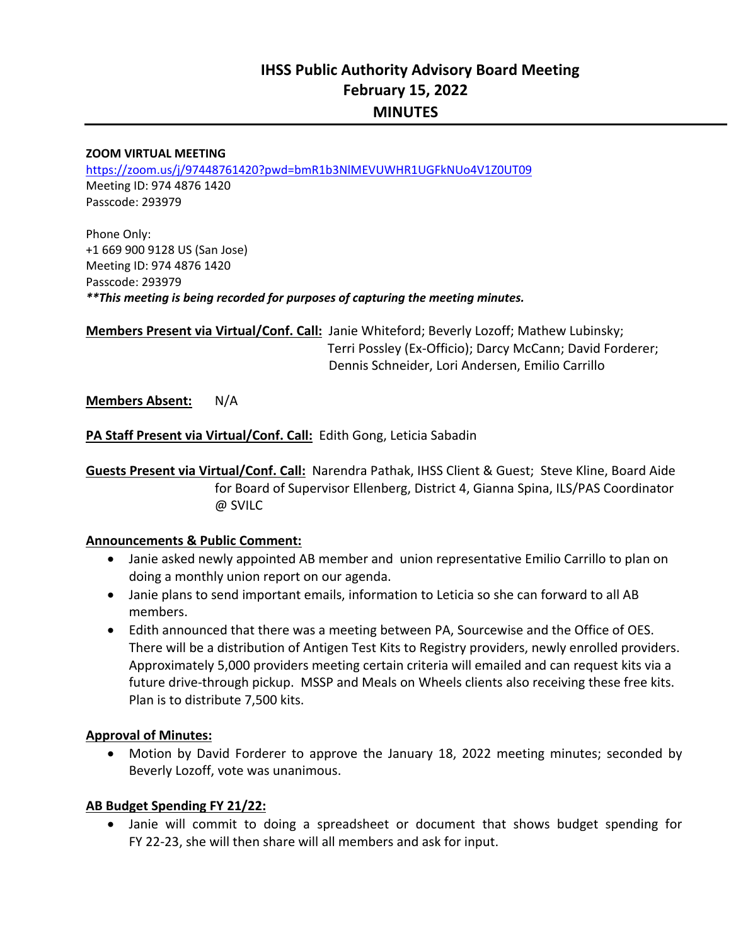# **IHSS Public Authority Advisory Board Meeting February 15, 2022 MINUTES**

#### **ZOOM VIRTUAL MEETING**

https://zoom.us/j/97448761420?pwd=bmR1b3NlMEVUWHR1UGFkNUo4V1Z0UT09 Meeting ID: 974 4876 1420 Passcode: 293979

Phone Only: +1 669 900 9128 US (San Jose) Meeting ID: 974 4876 1420 Passcode: 293979 *\*\*This meeting is being recorded for purposes of capturing the meeting minutes.* 

**Members Present via Virtual/Conf. Call:** Janie Whiteford; Beverly Lozoff; Mathew Lubinsky; L Terri Possley (Ex‐Officio); Darcy McCann; David Forderer; Dennis Schneider, Lori Andersen, Emilio Carrillo

**Members Absent:**  N/A

**PA Staff Present via Virtual/Conf. Call:** Edith Gong, Leticia Sabadin

**Guests Present via Virtual/Conf. Call:** Narendra Pathak, IHSS Client & Guest; Steve Kline, Board Aide for Board of Supervisor Ellenberg, District 4, Gianna Spina, ILS/PAS Coordinator @ SVILC

#### **Announcements & Public Comment:**

- Janie asked newly appointed AB member and union representative Emilio Carrillo to plan on doing a monthly union report on our agenda.
- Janie plans to send important emails, information to Leticia so she can forward to all AB members.
- Edith announced that there was a meeting between PA, Sourcewise and the Office of OES. There will be a distribution of Antigen Test Kits to Registry providers, newly enrolled providers. Approximately 5,000 providers meeting certain criteria will emailed and can request kits via a future drive-through pickup. MSSP and Meals on Wheels clients also receiving these free kits. Plan is to distribute 7,500 kits.

#### **Approval of Minutes:**

• Motion by David Forderer to approve the January 18, 2022 meeting minutes; seconded by Beverly Lozoff, vote was unanimous.

#### **AB Budget Spending FY 21/22:**

• Janie will commit to doing a spreadsheet or document that shows budget spending for FY 22‐23, she will then share will all members and ask for input.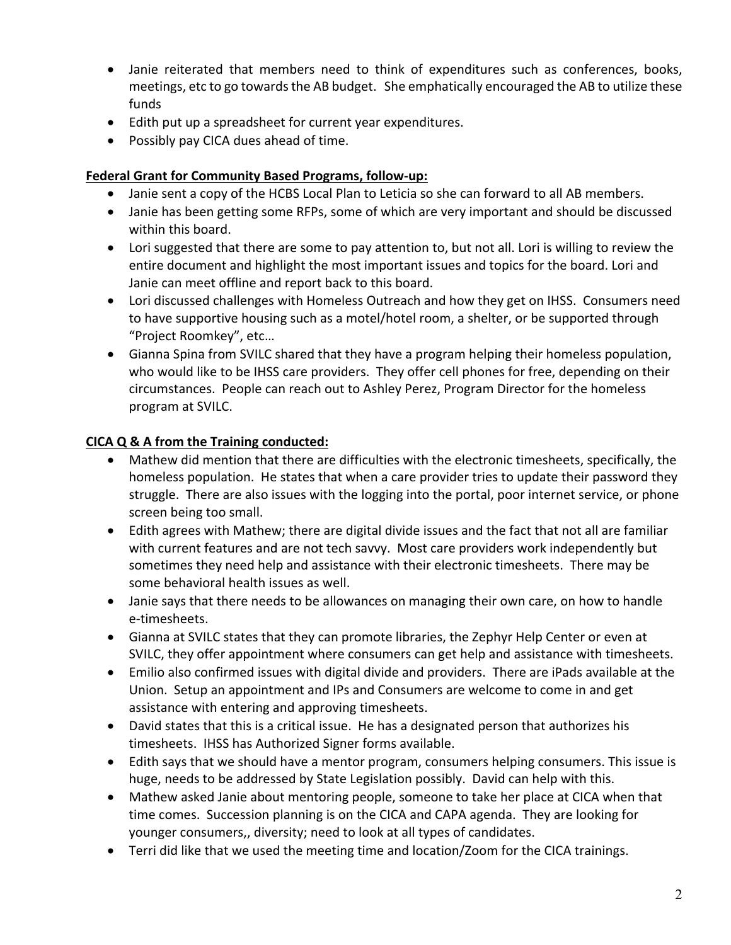- Janie reiterated that members need to think of expenditures such as conferences, books, meetings, etc to go towards the AB budget. She emphatically encouraged the AB to utilize these funds
- Edith put up a spreadsheet for current year expenditures.
- Possibly pay CICA dues ahead of time.

### **Federal Grant for Community Based Programs, follow‐up:**

- Janie sent a copy of the HCBS Local Plan to Leticia so she can forward to all AB members.
- Janie has been getting some RFPs, some of which are very important and should be discussed within this board.
- Lori suggested that there are some to pay attention to, but not all. Lori is willing to review the entire document and highlight the most important issues and topics for the board. Lori and Janie can meet offline and report back to this board.
- Lori discussed challenges with Homeless Outreach and how they get on IHSS. Consumers need to have supportive housing such as a motel/hotel room, a shelter, or be supported through "Project Roomkey", etc…
- Gianna Spina from SVILC shared that they have a program helping their homeless population, who would like to be IHSS care providers. They offer cell phones for free, depending on their circumstances. People can reach out to Ashley Perez, Program Director for the homeless program at SVILC.

### **CICA Q & A from the Training conducted:**

- Mathew did mention that there are difficulties with the electronic timesheets, specifically, the homeless population. He states that when a care provider tries to update their password they struggle. There are also issues with the logging into the portal, poor internet service, or phone screen being too small.
- Edith agrees with Mathew; there are digital divide issues and the fact that not all are familiar with current features and are not tech savvy. Most care providers work independently but sometimes they need help and assistance with their electronic timesheets. There may be some behavioral health issues as well.
- Janie says that there needs to be allowances on managing their own care, on how to handle e‐timesheets.
- Gianna at SVILC states that they can promote libraries, the Zephyr Help Center or even at SVILC, they offer appointment where consumers can get help and assistance with timesheets.
- Emilio also confirmed issues with digital divide and providers. There are iPads available at the Union. Setup an appointment and IPs and Consumers are welcome to come in and get assistance with entering and approving timesheets.
- David states that this is a critical issue. He has a designated person that authorizes his timesheets. IHSS has Authorized Signer forms available.
- Edith says that we should have a mentor program, consumers helping consumers. This issue is huge, needs to be addressed by State Legislation possibly. David can help with this.
- Mathew asked Janie about mentoring people, someone to take her place at CICA when that time comes. Succession planning is on the CICA and CAPA agenda. They are looking for younger consumers,, diversity; need to look at all types of candidates.
- Terri did like that we used the meeting time and location/Zoom for the CICA trainings.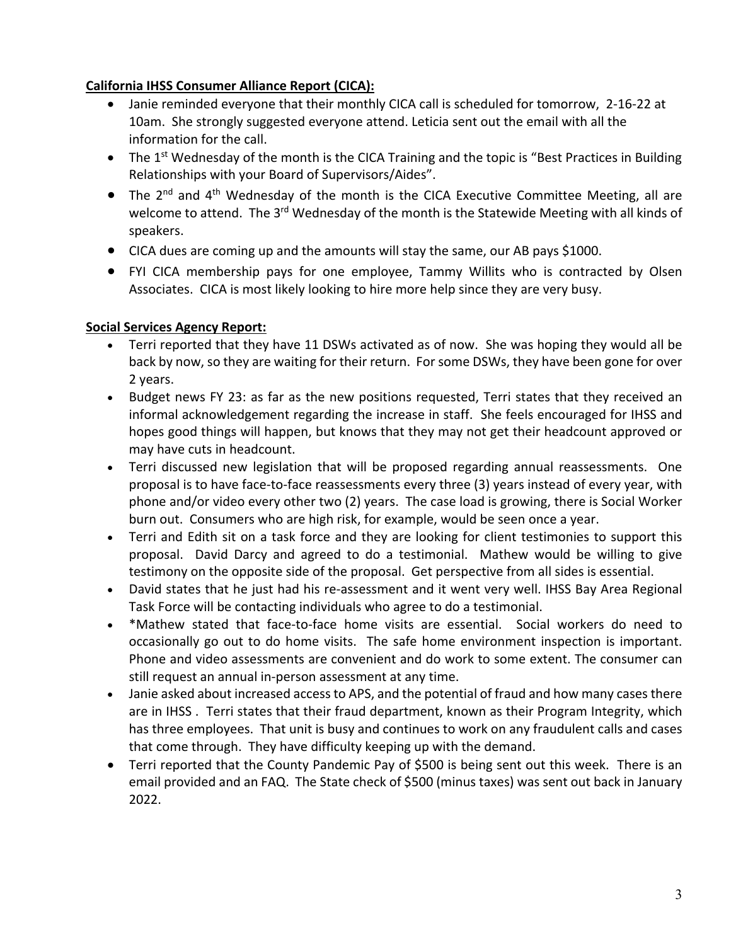### **California IHSS Consumer Alliance Report (CICA):**

- Janie reminded everyone that their monthly CICA call is scheduled for tomorrow, 2‐16‐22 at 10am. She strongly suggested everyone attend. Leticia sent out the email with all the information for the call.
- $\bullet$  The 1<sup>st</sup> Wednesday of the month is the CICA Training and the topic is "Best Practices in Building Relationships with your Board of Supervisors/Aides".
- The 2<sup>nd</sup> and 4<sup>th</sup> Wednesday of the month is the CICA Executive Committee Meeting, all are welcome to attend. The 3<sup>rd</sup> Wednesday of the month is the Statewide Meeting with all kinds of speakers.
- CICA dues are coming up and the amounts will stay the same, our AB pays \$1000.
- FYI CICA membership pays for one employee, Tammy Willits who is contracted by Olsen Associates. CICA is most likely looking to hire more help since they are very busy.

### **Social Services Agency Report:**

- Terri reported that they have 11 DSWs activated as of now. She was hoping they would all be back by now, so they are waiting for their return. For some DSWs, they have been gone for over 2 years.
- Budget news FY 23: as far as the new positions requested, Terri states that they received an informal acknowledgement regarding the increase in staff. She feels encouraged for IHSS and hopes good things will happen, but knows that they may not get their headcount approved or may have cuts in headcount.
- Terri discussed new legislation that will be proposed regarding annual reassessments. One proposal is to have face-to-face reassessments every three (3) years instead of every year, with phone and/or video every other two (2) years. The case load is growing, there is Social Worker burn out. Consumers who are high risk, for example, would be seen once a year.
- Terri and Edith sit on a task force and they are looking for client testimonies to support this proposal. David Darcy and agreed to do a testimonial. Mathew would be willing to give testimony on the opposite side of the proposal. Get perspective from all sides is essential.
- David states that he just had his re-assessment and it went very well. IHSS Bay Area Regional Task Force will be contacting individuals who agree to do a testimonial.
- \*Mathew stated that face-to-face home visits are essential. Social workers do need to occasionally go out to do home visits. The safe home environment inspection is important. Phone and video assessments are convenient and do work to some extent. The consumer can still request an annual in‐person assessment at any time.
- Janie asked about increased access to APS, and the potential of fraud and how many cases there are in IHSS . Terri states that their fraud department, known as their Program Integrity, which has three employees. That unit is busy and continues to work on any fraudulent calls and cases that come through. They have difficulty keeping up with the demand.
- Terri reported that the County Pandemic Pay of \$500 is being sent out this week. There is an email provided and an FAQ. The State check of \$500 (minus taxes) was sent out back in January 2022.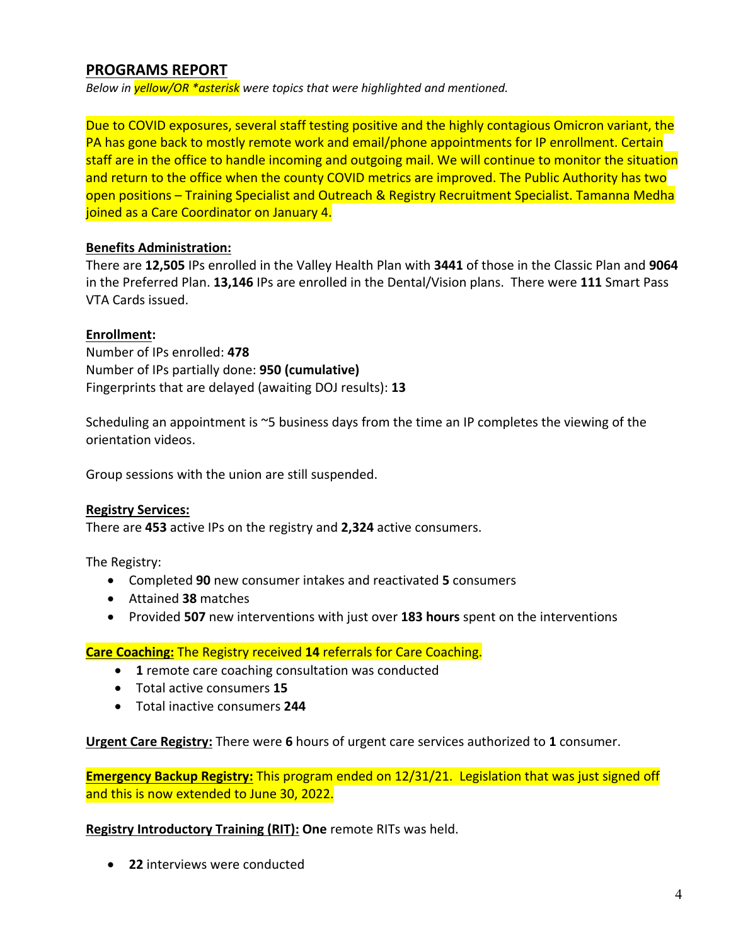## **PROGRAMS REPORT**

*Below in yellow/OR \*asterisk were topics that were highlighted and mentioned.* 

Due to COVID exposures, several staff testing positive and the highly contagious Omicron variant, the PA has gone back to mostly remote work and email/phone appointments for IP enrollment. Certain staff are in the office to handle incoming and outgoing mail. We will continue to monitor the situation and return to the office when the county COVID metrics are improved. The Public Authority has two open positions – Training Specialist and Outreach & Registry Recruitment Specialist. Tamanna Medha joined as a Care Coordinator on January 4.

#### **Benefits Administration:**

There are **12,505** IPs enrolled in the Valley Health Plan with **3441** of those in the Classic Plan and **9064**  in the Preferred Plan. **13,146** IPs are enrolled in the Dental/Vision plans. There were **111** Smart Pass VTA Cards issued.

#### **Enrollment:**

Number of IPs enrolled: **478**  Number of IPs partially done: **950 (cumulative)** Fingerprints that are delayed (awaiting DOJ results): **13** 

Scheduling an appointment is ~5 business days from the time an IP completes the viewing of the orientation videos.

Group sessions with the union are still suspended.

#### **Registry Services:**

There are **453** active IPs on the registry and **2,324** active consumers.

The Registry:

- Completed **90** new consumer intakes and reactivated **5** consumers
- Attained **38** matches
- Provided **507** new interventions with just over **183 hours** spent on the interventions

#### **Care Coaching:** The Registry received **14** referrals for Care Coaching.

- **1** remote care coaching consultation was conducted
- Total active consumers **15**
- Total inactive consumers **244**

**Urgent Care Registry:** There were **6** hours of urgent care services authorized to **1** consumer.

**Emergency Backup Registry:** This program ended on 12/31/21. Legislation that was just signed off and this is now extended to June 30, 2022.

**Registry Introductory Training (RIT): One** remote RITs was held.

**22** interviews were conducted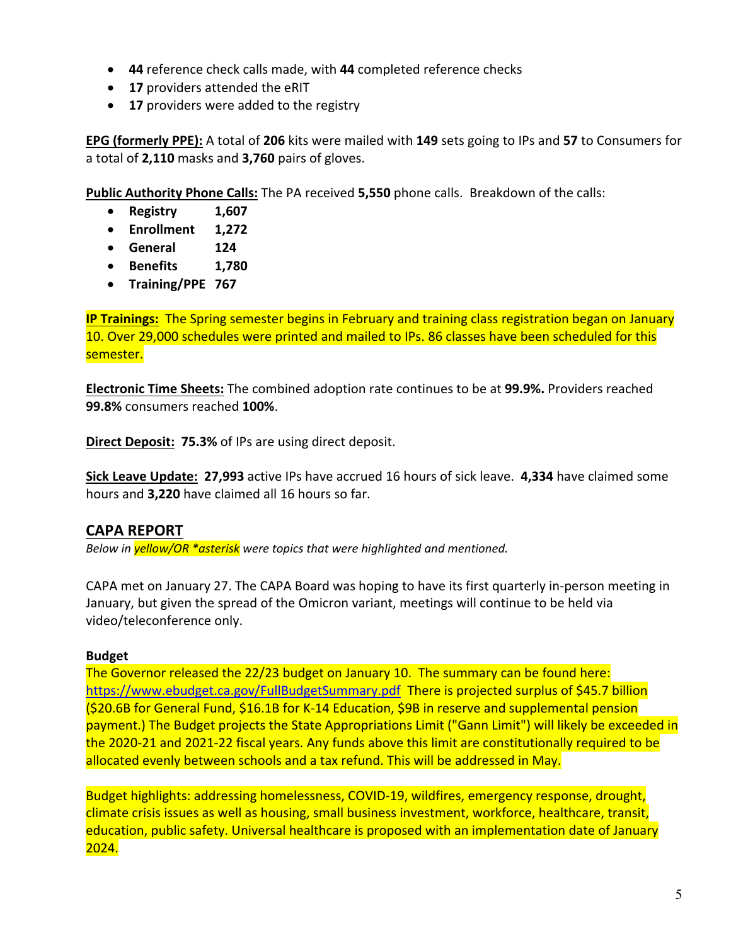- **44** reference check calls made, with **44** completed reference checks
- **17** providers attended the eRIT
- **17** providers were added to the registry

**EPG (formerly PPE):** A total of **206** kits were mailed with **149** sets going to IPs and **57** to Consumers for a total of **2,110** masks and **3,760** pairs of gloves.

**Public Authority Phone Calls:** The PA received **5,550** phone calls. Breakdown of the calls:

- **Registry 1,607**
- **Enrollment 1,272**
- **General 124**
- **Benefits 1,780**
- **Training/PPE 767**

**IP Trainings:** The Spring semester begins in February and training class registration began on January 10. Over 29,000 schedules were printed and mailed to IPs. 86 classes have been scheduled for this semester.

**Electronic Time Sheets:** The combined adoption rate continues to be at **99.9%.** Providers reached **99.8%** consumers reached **100%**.

**Direct Deposit: 75.3%** of IPs are using direct deposit.

**Sick Leave Update: 27,993** active IPs have accrued 16 hours of sick leave. **4,334** have claimed some hours and **3,220** have claimed all 16 hours so far.

## **CAPA REPORT**

*Below in yellow/OR \*asterisk were topics that were highlighted and mentioned.* 

CAPA met on January 27. The CAPA Board was hoping to have its first quarterly in‐person meeting in January, but given the spread of the Omicron variant, meetings will continue to be held via video/teleconference only.

#### **Budget**

The Governor released the 22/23 budget on January 10. The summary can be found here: https://www.ebudget.ca.gov/FullBudgetSummary.pdf There is projected surplus of \$45.7 billion (\$20.6B for General Fund, \$16.1B for K‐14 Education, \$9B in reserve and supplemental pension payment.) The Budget projects the State Appropriations Limit ("Gann Limit") will likely be exceeded in the 2020‐21 and 2021‐22 fiscal years. Any funds above this limit are constitutionally required to be allocated evenly between schools and a tax refund. This will be addressed in May.

Budget highlights: addressing homelessness, COVID-19, wildfires, emergency response, drought, climate crisis issues as well as housing, small business investment, workforce, healthcare, transit, education, public safety. Universal healthcare is proposed with an implementation date of January 2024.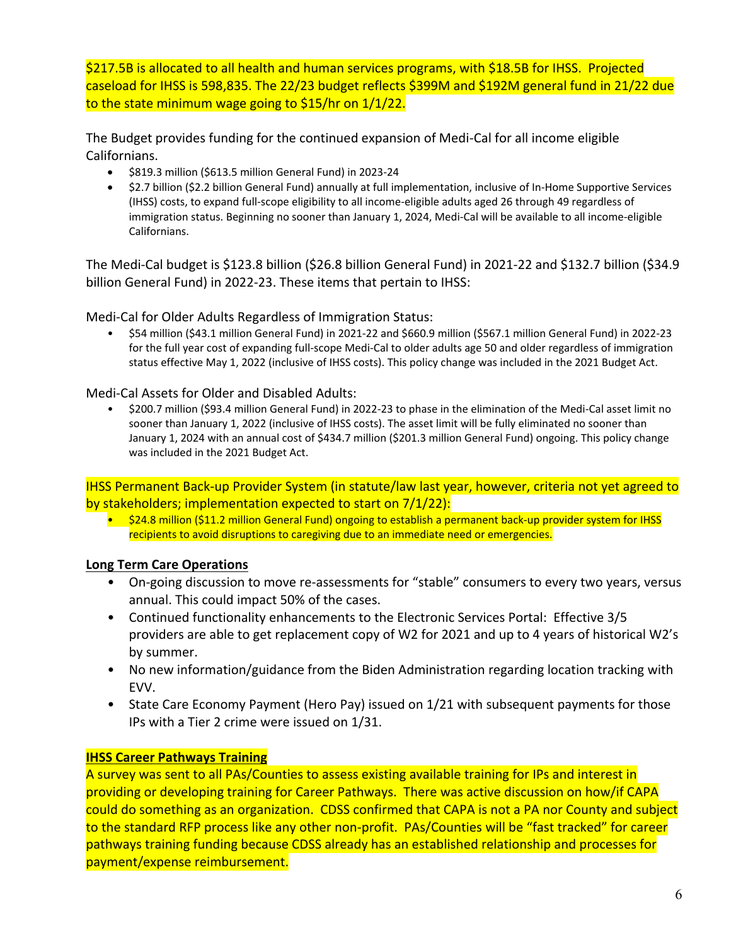\$217.5B is allocated to all health and human services programs, with \$18.5B for IHSS. Projected caseload for IHSS is 598,835. The 22/23 budget reflects \$399M and \$192M general fund in 21/22 due to the state minimum wage going to \$15/hr on 1/1/22.

The Budget provides funding for the continued expansion of Medi‐Cal for all income eligible Californians.

- \$819.3 million (\$613.5 million General Fund) in 2023‐24
- \$2.7 billion (\$2.2 billion General Fund) annually at full implementation, inclusive of In-Home Supportive Services (IHSS) costs, to expand full‐scope eligibility to all income‐eligible adults aged 26 through 49 regardless of immigration status. Beginning no sooner than January 1, 2024, Medi‐Cal will be available to all income‐eligible Californians.

The Medi‐Cal budget is \$123.8 billion (\$26.8 billion General Fund) in 2021‐22 and \$132.7 billion (\$34.9 billion General Fund) in 2022‐23. These items that pertain to IHSS:

Medi‐Cal for Older Adults Regardless of Immigration Status:

• \$54 million (\$43.1 million General Fund) in 2021‐22 and \$660.9 million (\$567.1 million General Fund) in 2022‐23 for the full year cost of expanding full‐scope Medi‐Cal to older adults age 50 and older regardless of immigration status effective May 1, 2022 (inclusive of IHSS costs). This policy change was included in the 2021 Budget Act.

Medi‐Cal Assets for Older and Disabled Adults:

• \$200.7 million (\$93.4 million General Fund) in 2022‐23 to phase in the elimination of the Medi‐Cal asset limit no sooner than January 1, 2022 (inclusive of IHSS costs). The asset limit will be fully eliminated no sooner than January 1, 2024 with an annual cost of \$434.7 million (\$201.3 million General Fund) ongoing. This policy change was included in the 2021 Budget Act.

IHSS Permanent Back‐up Provider System (in statute/law last year, however, criteria not yet agreed to by stakeholders; implementation expected to start on 7/1/22):

• \$24.8 million (\$11.2 million General Fund) ongoing to establish a permanent back-up provider system for IHSS recipients to avoid disruptions to caregiving due to an immediate need or emergencies.

### **Long Term Care Operations**

- On-going discussion to move re-assessments for "stable" consumers to every two years, versus annual. This could impact 50% of the cases.
- Continued functionality enhancements to the Electronic Services Portal: Effective 3/5 providers are able to get replacement copy of W2 for 2021 and up to 4 years of historical W2's by summer.
- No new information/guidance from the Biden Administration regarding location tracking with EVV.
- State Care Economy Payment (Hero Pay) issued on 1/21 with subsequent payments for those IPs with a Tier 2 crime were issued on 1/31.

### **IHSS Career Pathways Training**

A survey was sent to all PAs/Counties to assess existing available training for IPs and interest in providing or developing training for Career Pathways. There was active discussion on how/if CAPA could do something as an organization. CDSS confirmed that CAPA is not a PA nor County and subject to the standard RFP process like any other non-profit. PAs/Counties will be "fast tracked" for career pathways training funding because CDSS already has an established relationship and processes for payment/expense reimbursement.